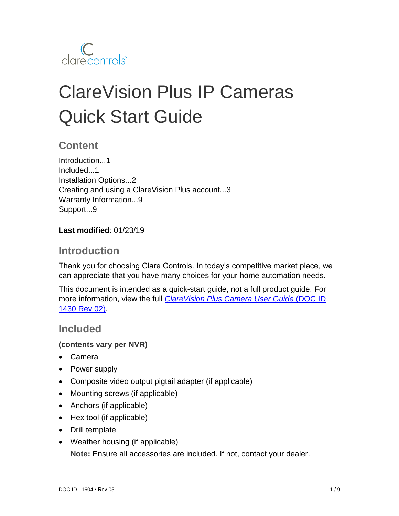

# ClareVision Plus IP Cameras Quick Start Guide

## **Content**

Introduction...1 Included...1 Installation Options...2 Creating and using a ClareVision Plus account...3 Warranty Information...9 Support...9

#### **Last modified**: 01/23/19

## **Introduction**

Thank you for choosing Clare Controls. In today's competitive market place, we can appreciate that you have many choices for your home automation needs.

This document is intended as a quick-start guide, not a full product guide. For more information, view the full *[ClareVision Plus Camera](https://knowledgebaseclarecontrols.atlassian.net/wiki/spaces/CVP/pages/64159818/ClareVision+Plus+Camera+User+Guide) User Guide* (DOC ID 1430 [Rev 02\).](https://knowledgebaseclarecontrols.atlassian.net/wiki/spaces/CVP/pages/64159818/ClareVision+Plus+Camera+User+Guide)

## **Included**

#### **(contents vary per NVR)**

- Camera
- Power supply
- Composite video output pigtail adapter (if applicable)
- Mounting screws (if applicable)
- Anchors (if applicable)
- Hex tool (if applicable)
- Drill template
- Weather housing (if applicable) **Note:** Ensure all accessories are included. If not, contact your dealer.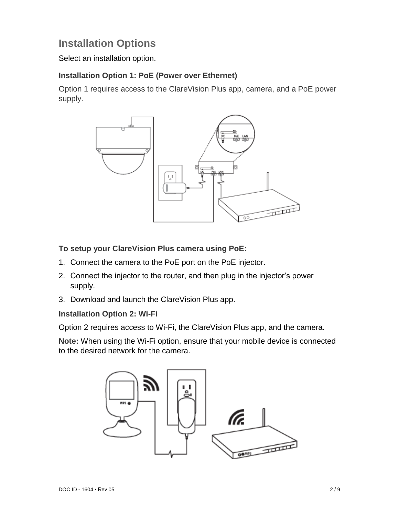# **Installation Options**

Select an installation option.

#### **Installation Option 1: PoE (Power over Ethernet)**

Option 1 requires access to the ClareVision Plus app, camera, and a PoE power supply.



**To setup your ClareVision Plus camera using PoE:**

- 1. Connect the camera to the PoE port on the PoE injector.
- 2. Connect the injector to the router, and then plug in the injector's power supply.
- 3. Download and launch the ClareVision Plus app.

#### **Installation Option 2: Wi-Fi**

Option 2 requires access to Wi-Fi, the ClareVision Plus app, and the camera.

**Note:** When using the Wi-Fi option, ensure that your mobile device is connected to the desired network for the camera.

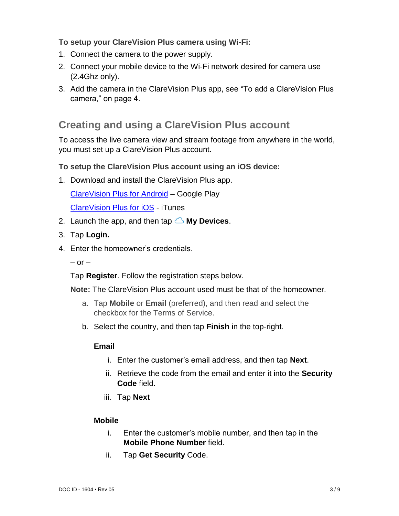#### **To setup your ClareVision Plus camera using Wi-Fi:**

- 1. Connect the camera to the power supply.
- 2. Connect your mobile device to the Wi-Fi network desired for camera use (2.4Ghz only).
- 3. Add the camera in the ClareVision Plus app, see "To add a ClareVision Plus camera," on page 4.

## **Creating and using a ClareVision Plus account**

To access the live camera view and stream footage from anywhere in the world, you must set up a ClareVision Plus account.

#### **To setup the ClareVision Plus account using an iOS device:**

1. Download and install the ClareVision Plus app.

[ClareVision Plus for Android](https://play.google.com/store/apps/details?id=com.clarecontrols.ClareVisionPlusG2) – Google Play

[ClareVision Plus for iOS](https://itunes.apple.com/us/app/clarevision-plus/id1231425658?mt=8) - iTunes

- 2. Launch the app, and then tap  $\triangle$  My Devices.
- 3. Tap **Login.**
- 4. Enter the homeowner's credentials.
	- $-$  or  $-$

Tap **Register**. Follow the registration steps below.

**Note:** The ClareVision Plus account used must be that of the homeowner.

- a. Tap **Mobile** or **Email** (preferred), and then read and select the checkbox for the Terms of Service.
- b. Select the country, and then tap **Finish** in the top-right.

#### **Email**

- i. Enter the customer's email address, and then tap **Next**.
- ii. Retrieve the code from the email and enter it into the **Security Code** field.
- iii. Tap **Next**

#### **Mobile**

- i. Enter the customer's mobile number, and then tap in the **Mobile Phone Number** field.
- ii. Tap **Get Security** Code.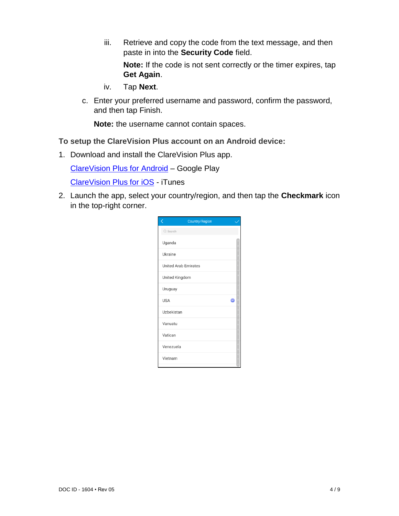- iii. Retrieve and copy the code from the text message, and then paste in into the **Security Code** field. **Note:** If the code is not sent correctly or the timer expires, tap
	- **Get Again**.
- iv. Tap **Next**.
- c. Enter your preferred username and password, confirm the password, and then tap Finish.

**Note:** the username cannot contain spaces.

#### **To setup the ClareVision Plus account on an Android device:**

1. Download and install the ClareVision Plus app.

[ClareVision Plus for Android](https://play.google.com/store/apps/details?id=com.clarecontrols.ClareVisionPlusG2) – Google Play

[ClareVision Plus for iOS](https://itunes.apple.com/us/app/clarevision-plus/id1231425658?mt=8) - iTunes

2. Launch the app, select your country/region, and then tap the **Checkmark** icon in the top-right corner.

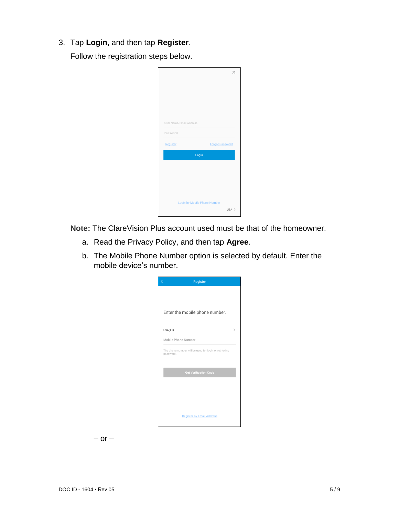3. Tap **Login**, and then tap **Register**.

Follow the registration steps below.

|                         |                              |                        | × |
|-------------------------|------------------------------|------------------------|---|
|                         |                              |                        |   |
|                         |                              |                        |   |
|                         |                              |                        |   |
|                         |                              |                        |   |
|                         |                              |                        |   |
| User Name/Email Address |                              |                        |   |
| Password                |                              |                        |   |
| Register                |                              | <b>Forgot Password</b> |   |
|                         | Login                        |                        |   |
|                         |                              |                        |   |
|                         |                              |                        |   |
|                         |                              |                        |   |
|                         |                              |                        |   |
|                         |                              |                        |   |
|                         | Login by Mobile Phone Number |                        |   |

**Note:** The ClareVision Plus account used must be that of the homeowner.

- a. Read the Privacy Policy, and then tap **Agree**.
- b. The Mobile Phone Number option is selected by default. Enter the mobile device's number.

| ぐ<br>Register                                                      |   |
|--------------------------------------------------------------------|---|
|                                                                    |   |
|                                                                    |   |
| Enter the mobile phone number.                                     |   |
|                                                                    |   |
| $USA(+1)$                                                          | ↘ |
| Mobile Phone Number                                                |   |
| The phone number will be used for login or retrieving<br>password. |   |
| <b>Get Verification Code</b>                                       |   |
|                                                                    |   |
|                                                                    |   |
|                                                                    |   |
| <b>Register by Email Address</b>                                   |   |
|                                                                    |   |

 $-$  or  $-$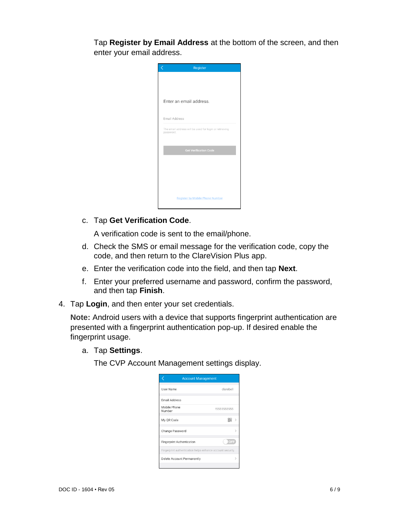Tap **Register by Email Address** at the bottom of the screen, and then enter your email address.

| Register                                                            |
|---------------------------------------------------------------------|
|                                                                     |
|                                                                     |
|                                                                     |
| Enter an email address.                                             |
| Email Address                                                       |
|                                                                     |
| The email address will be used for login or retrieving<br>password. |
|                                                                     |
| <b>Get Verification Code</b>                                        |
|                                                                     |
|                                                                     |
|                                                                     |
|                                                                     |
| <b>Register by Mobile Phone Number</b>                              |
|                                                                     |

#### c. Tap **Get Verification Code**.

A verification code is sent to the email/phone.

- d. Check the SMS or email message for the verification code, copy the code, and then return to the ClareVision Plus app.
- e. Enter the verification code into the field, and then tap **Next**.
- f. Enter your preferred username and password, confirm the password, and then tap **Finish**.
- 4. Tap **Login**, and then enter your set credentials.

**Note:** Android users with a device that supports fingerprint authentication are presented with a fingerprint authentication pop-up. If desired enable the fingerprint usage.

a. Tap **Settings**.

The CVP Account Management settings display.

| <b>Account Management</b>                                  |             |
|------------------------------------------------------------|-------------|
| User Name                                                  | clarebell   |
| Email Address                                              |             |
| Mobile Phone<br>Number                                     | 15555555555 |
| My QR Code                                                 | 嘂           |
| Change Password                                            |             |
| <b>Fingerprint Authentication</b>                          | OFF         |
| Fingerprint authentication helps enhance account security. |             |
| Delete Account Permanently                                 |             |
|                                                            |             |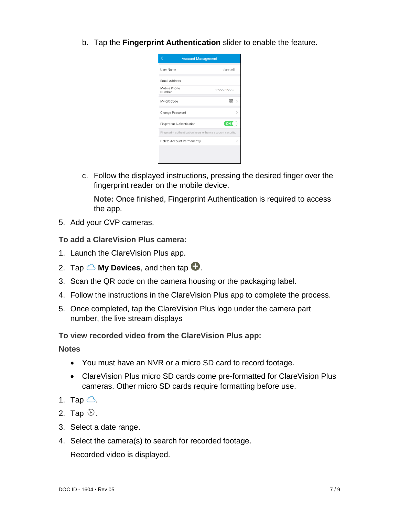b. Tap the **Fingerprint Authentication** slider to enable the feature.

| <b>Account Management</b>                                  |             |
|------------------------------------------------------------|-------------|
| User Name                                                  | clarebell   |
| <b>Email Address</b>                                       |             |
| Mobile Phone<br>Number                                     | 15555555555 |
| My QR Code                                                 | 嘂           |
| Change Password                                            |             |
| <b>Fingerprint Authentication</b>                          | ON          |
| Fingerprint authentication helps enhance account security. |             |
| Delete Account Permanently                                 |             |
|                                                            |             |
|                                                            |             |

c. Follow the displayed instructions, pressing the desired finger over the fingerprint reader on the mobile device.

**Note:** Once finished, Fingerprint Authentication is required to access the app.

5. Add your CVP cameras.

**To add a ClareVision Plus camera:** 

- 1. Launch the ClareVision Plus app.
- 2. Tap  $\bigcirc$  My Devices, and then tap  $\bigcirc$ .
- 3. Scan the QR code on the camera housing or the packaging label.
- 4. Follow the instructions in the ClareVision Plus app to complete the process.
- 5. Once completed, tap the ClareVision Plus logo under the camera part number, the live stream displays

**To view recorded video from the ClareVision Plus app:** 

**Notes**

- You must have an NVR or a micro SD card to record footage.
- ClareVision Plus micro SD cards come pre-formatted for ClareVision Plus cameras. Other micro SD cards require formatting before use.
- 1. Tap  $\bigcirc$ .
- 2. Tap  $\mathfrak{D}$ .
- 3. Select a date range.
- 4. Select the camera(s) to search for recorded footage.

Recorded video is displayed.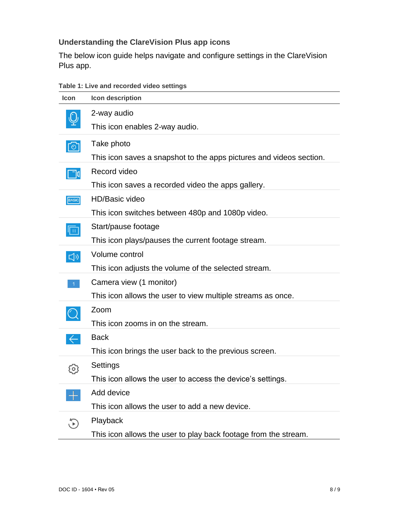### **Understanding the ClareVision Plus app icons**

The below icon guide helps navigate and configure settings in the ClareVision Plus app.

|  |  |  |  | Table 1: Live and recorded video settings |  |  |
|--|--|--|--|-------------------------------------------|--|--|
|--|--|--|--|-------------------------------------------|--|--|

| <b>Icon</b>       | Icon description                                                    |
|-------------------|---------------------------------------------------------------------|
|                   | 2-way audio                                                         |
|                   | This icon enables 2-way audio.                                      |
| $\lceil 0 \rceil$ | Take photo                                                          |
|                   | This icon saves a snapshot to the apps pictures and videos section. |
| $\Box$ d          | Record video                                                        |
|                   | This icon saves a recorded video the apps gallery.                  |
| <b>BASIC</b>      | <b>HD/Basic video</b>                                               |
|                   | This icon switches between 480p and 1080p video.                    |
| Ιm                | Start/pause footage                                                 |
|                   | This icon plays/pauses the current footage stream.                  |
| $\sqrt{v}$        | Volume control                                                      |
|                   | This icon adjusts the volume of the selected stream.                |
|                   | Camera view (1 monitor)                                             |
|                   | This icon allows the user to view multiple streams as once.         |
|                   | Zoom                                                                |
|                   | This icon zooms in on the stream.                                   |
| $\leftarrow$      | <b>Back</b>                                                         |
|                   | This icon brings the user back to the previous screen.              |
| $\circ$           | Settings                                                            |
|                   | This icon allows the user to access the device's settings.          |
|                   | Add device                                                          |
|                   | This icon allows the user to add a new device.                      |
|                   | Playback                                                            |
|                   | This icon allows the user to play back footage from the stream.     |